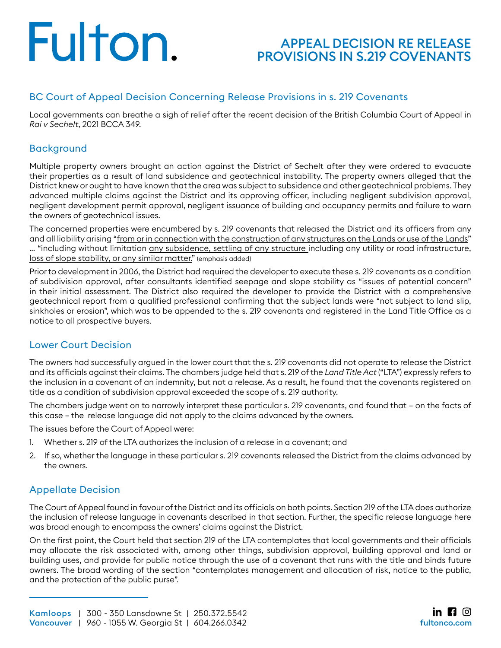# Fulton.

### APPEAL DECISION RE RELEASE [PROVISIONS IN S.219 COVENANTS](https://www.fultonco.com/?p=6638&preview=true)

#### BC Court of Appeal Decision Concerning Release Provisions in s. 219 Covenants

Local governments can breathe a sigh of relief after the recent decision of the British Columbia Court of Appeal in *Rai v Sechelt*, 2021 BCCA 349.

#### Background

Multiple property owners brought an action against the District of Sechelt after they were ordered to evacuate their properties as a result of land subsidence and geotechnical instability. The property owners alleged that the District knew or ought to have known that the area was subject to subsidence and other geotechnical problems. They advanced multiple claims against the District and its approving officer, including negligent subdivision approval, negligent development permit approval, negligent issuance of building and occupancy permits and failure to warn the owners of geotechnical issues.

The concerned properties were encumbered by s. 219 covenants that released the District and its officers from any and all liability arising "from or in connection with the construction of any structures on the Lands or use of the Lands" … "including without limitation any subsidence, settling of any structure including any utility or road infrastructure, loss of slope stability, or any similar matter." (emphasis added)

Prior to development in 2006, the District had required the developer to execute these s. 219 covenants as a condition of subdivision approval, after consultants identified seepage and slope stability as "issues of potential concern" in their initial assessment. The District also required the developer to provide the District with a comprehensive geotechnical report from a qualified professional confirming that the subject lands were "not subject to land slip, sinkholes or erosion", which was to be appended to the s. 219 covenants and registered in the Land Title Office as a notice to all prospective buyers.

#### Lower Court Decision

The owners had successfully argued in the lower court that the s. 219 covenants did not operate to release the District and its officials against their claims. The chambers judge held that s. 219 of the *Land Title Act* ("LTA") expressly refers to the inclusion in a covenant of an indemnity, but not a release. As a result, he found that the covenants registered on title as a condition of subdivision approval exceeded the scope of s. 219 authority.

The chambers judge went on to narrowly interpret these particular s. 219 covenants, and found that – on the facts of this case – the release language did not apply to the claims advanced by the owners.

The issues before the Court of Appeal were:

- 1. Whether s. 219 of the LTA authorizes the inclusion of a release in a covenant; and
- 2. If so, whether the language in these particular s. 219 covenants released the District from the claims advanced by the owners.

#### Appellate Decision

The Court of Appeal found in favour of the District and its officials on both points. Section 219 of the LTA does authorize the inclusion of release language in covenants described in that section. Further, the specific release language here was broad enough to encompass the owners' claims against the District.

On the first point, the Court held that section 219 of the LTA contemplates that local governments and their officials may allocate the risk associated with, among other things, subdivision approval, building approval and land or building uses, and provide for public notice through the use of a covenant that runs with the title and binds future owners. The broad wording of the section "contemplates management and allocation of risk, notice to the public, and the protection of the public purse".